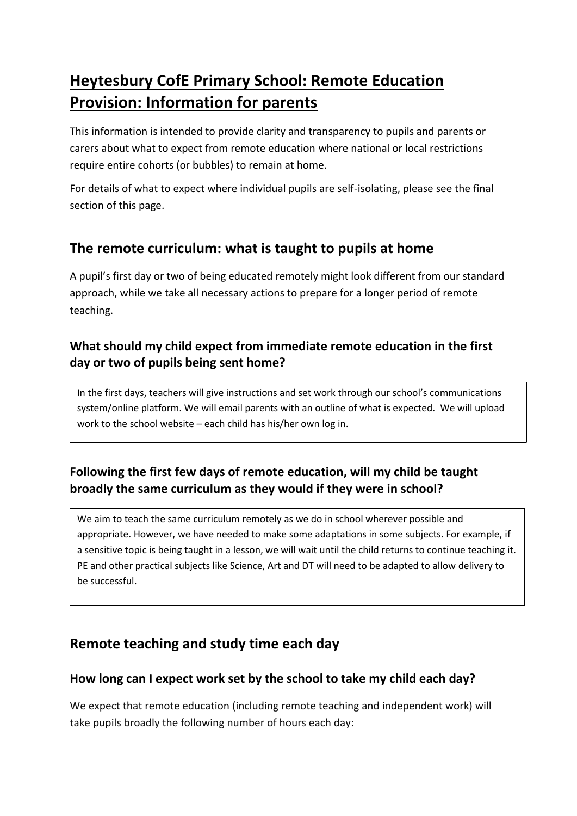# **Heytesbury CofE Primary School: Remote Education Provision: Information for parents**

This information is intended to provide clarity and transparency to pupils and parents or carers about what to expect from remote education where national or local restrictions require entire cohorts (or bubbles) to remain at home.

For details of what to expect where individual pupils are self-isolating, please see the final section of this page.

## **The remote curriculum: what is taught to pupils at home**

A pupil's first day or two of being educated remotely might look different from our standard approach, while we take all necessary actions to prepare for a longer period of remote teaching.

### **What should my child expect from immediate remote education in the first day or two of pupils being sent home?**

In the first days, teachers will give instructions and set work through our school's communications system/online platform. We will email parents with an outline of what is expected. We will upload work to the school website – each child has his/her own log in.

## **Following the first few days of remote education, will my child be taught broadly the same curriculum as they would if they were in school?**

We aim to teach the same curriculum remotely as we do in school wherever possible and appropriate. However, we have needed to make some adaptations in some subjects. For example, if a sensitive topic is being taught in a lesson, we will wait until the child returns to continue teaching it. PE and other practical subjects like Science, Art and DT will need to be adapted to allow delivery to be successful.

## **Remote teaching and study time each day**

### **How long can I expect work set by the school to take my child each day?**

We expect that remote education (including remote teaching and independent work) will take pupils broadly the following number of hours each day: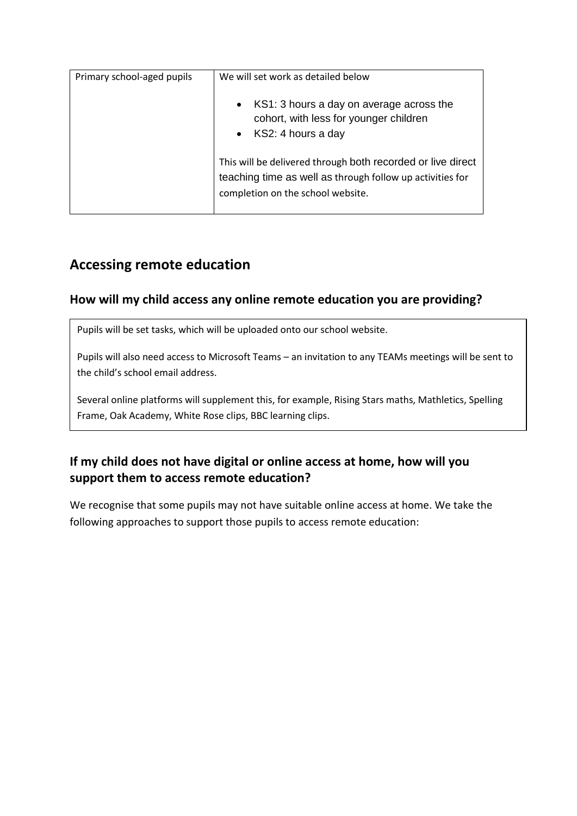| Primary school-aged pupils | We will set work as detailed below                                                                                                                            |
|----------------------------|---------------------------------------------------------------------------------------------------------------------------------------------------------------|
|                            | KS1: 3 hours a day on average across the<br>$\bullet$<br>cohort, with less for younger children<br>• $KS2: 4 hours a day$                                     |
|                            | This will be delivered through both recorded or live direct<br>teaching time as well as through follow up activities for<br>completion on the school website. |

## **Accessing remote education**

### **How will my child access any online remote education you are providing?**

Pupils will be set tasks, which will be uploaded onto our school website.

Pupils will also need access to Microsoft Teams – an invitation to any TEAMs meetings will be sent to the child's school email address.

Several online platforms will supplement this, for example, Rising Stars maths, Mathletics, Spelling Frame, Oak Academy, White Rose clips, BBC learning clips.

## **If my child does not have digital or online access at home, how will you support them to access remote education?**

We recognise that some pupils may not have suitable online access at home. We take the following approaches to support those pupils to access remote education: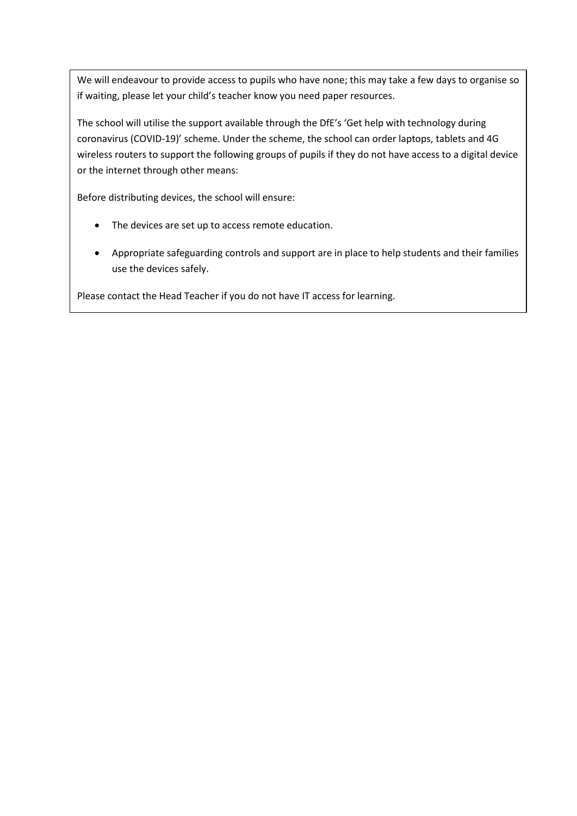We will endeavour to provide access to pupils who have none; this may take a few days to organise so if waiting, please let your child's teacher know you need paper resources.

The school will utilise the support available through the DfE's 'Get help with technology during coronavirus (COVID-19)' scheme. Under the scheme, the school can order laptops, tablets and 4G wireless routers to support the following groups of pupils if they do not have access to a digital device or the internet through other means:

Before distributing devices, the school will ensure:

- The devices are set up to access remote education.
- Appropriate safeguarding controls and support are in place to help students and their families use the devices safely.

Please contact the Head Teacher if you do not have IT access for learning.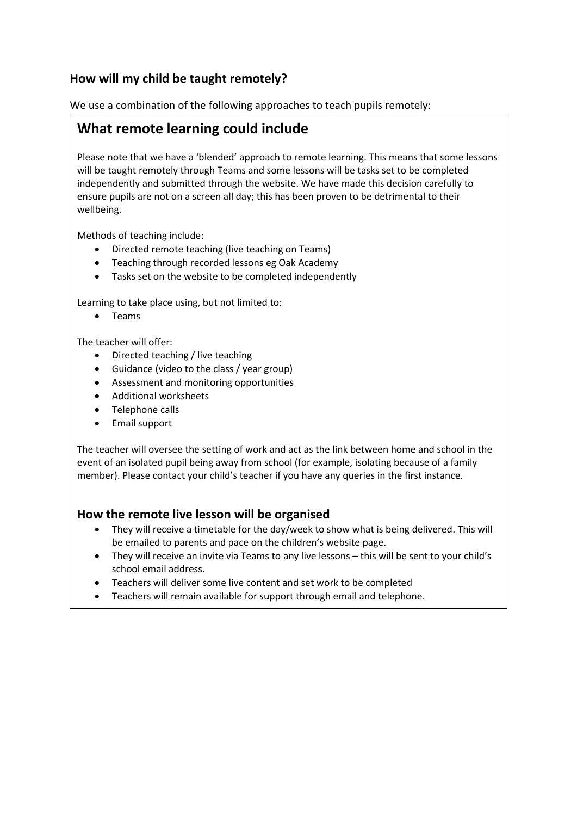### **How will my child be taught remotely?**

We use a combination of the following approaches to teach pupils remotely:

## **What remote learning could include**

Please note that we have a 'blended' approach to remote learning. This means that some lessons will be taught remotely through Teams and some lessons will be tasks set to be completed independently and submitted through the website. We have made this decision carefully to ensure pupils are not on a screen all day; this has been proven to be detrimental to their wellbeing.

Methods of teaching include:

- Directed remote teaching (live teaching on Teams)
- Teaching through recorded lessons eg Oak Academy
- Tasks set on the website to be completed independently

Learning to take place using, but not limited to:

• Teams

The teacher will offer:

- Directed teaching / live teaching
- Guidance (video to the class / year group)
- Assessment and monitoring opportunities
- Additional worksheets
- Telephone calls
- Email support

The teacher will oversee the setting of work and act as the link between home and school in the event of an isolated pupil being away from school (for example, isolating because of a family member). Please contact your child's teacher if you have any queries in the first instance.

#### **How the remote live lesson will be organised**

- They will receive a timetable for the day/week to show what is being delivered. This will be emailed to parents and pace on the children's website page.
- They will receive an invite via Teams to any live lessons this will be sent to your child's school email address.
- Teachers will deliver some live content and set work to be completed
- Teachers will remain available for support through email and telephone.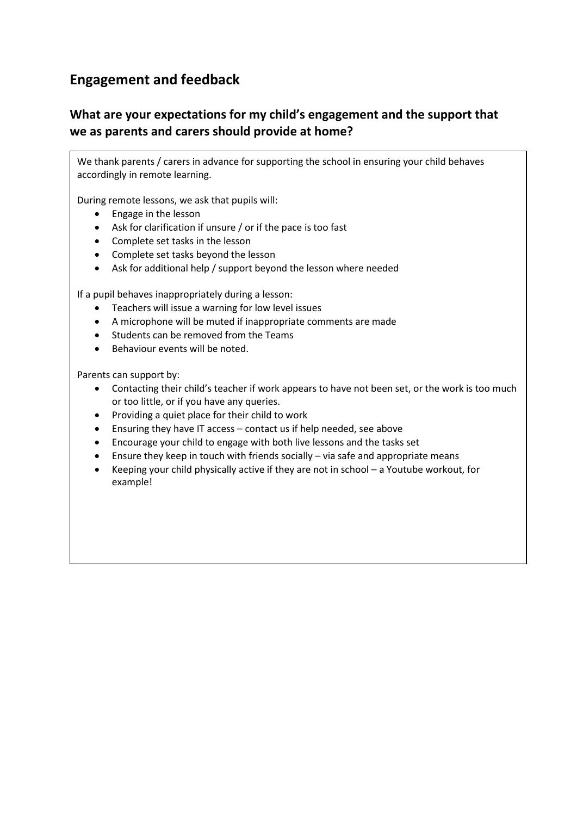## **Engagement and feedback**

## **What are your expectations for my child's engagement and the support that we as parents and carers should provide at home?**

We thank parents / carers in advance for supporting the school in ensuring your child behaves accordingly in remote learning.

During remote lessons, we ask that pupils will:

- Engage in the lesson
- Ask for clarification if unsure / or if the pace is too fast
- Complete set tasks in the lesson
- Complete set tasks beyond the lesson
- Ask for additional help / support beyond the lesson where needed

If a pupil behaves inappropriately during a lesson:

- Teachers will issue a warning for low level issues
- A microphone will be muted if inappropriate comments are made
- Students can be removed from the Teams
- Behaviour events will be noted.

Parents can support by:

- Contacting their child's teacher if work appears to have not been set, or the work is too much or too little, or if you have any queries.
- Providing a quiet place for their child to work
- Ensuring they have IT access contact us if help needed, see above
- Encourage your child to engage with both live lessons and the tasks set
- Ensure they keep in touch with friends socially via safe and appropriate means
- Keeping your child physically active if they are not in school a Youtube workout, for example!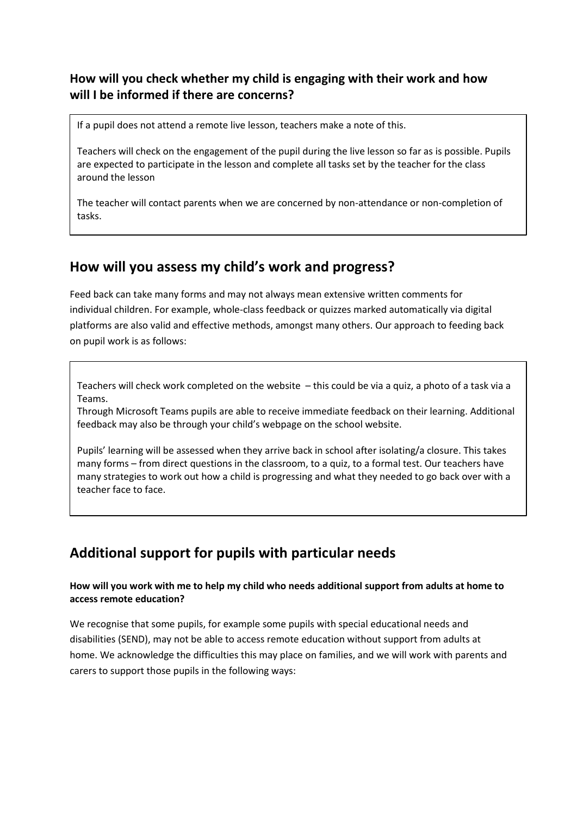### **How will you check whether my child is engaging with their work and how will I be informed if there are concerns?**

If a pupil does not attend a remote live lesson, teachers make a note of this.

Teachers will check on the engagement of the pupil during the live lesson so far as is possible. Pupils are expected to participate in the lesson and complete all tasks set by the teacher for the class around the lesson

The teacher will contact parents when we are concerned by non-attendance or non-completion of tasks.

## **How will you assess my child's work and progress?**

Feed back can take many forms and may not always mean extensive written comments for individual children. For example, whole-class feedback or quizzes marked automatically via digital platforms are also valid and effective methods, amongst many others. Our approach to feeding back on pupil work is as follows:

Teachers will check work completed on the website – this could be via a quiz, a photo of a task via a Teams.

Through Microsoft Teams pupils are able to receive immediate feedback on their learning. Additional feedback may also be through your child's webpage on the school website.

Pupils' learning will be assessed when they arrive back in school after isolating/a closure. This takes many forms – from direct questions in the classroom, to a quiz, to a formal test. Our teachers have many strategies to work out how a child is progressing and what they needed to go back over with a teacher face to face.

## **Additional support for pupils with particular needs**

#### **How will you work with me to help my child who needs additional support from adults at home to access remote education?**

We recognise that some pupils, for example some pupils with special educational needs and disabilities (SEND), may not be able to access remote education without support from adults at home. We acknowledge the difficulties this may place on families, and we will work with parents and carers to support those pupils in the following ways: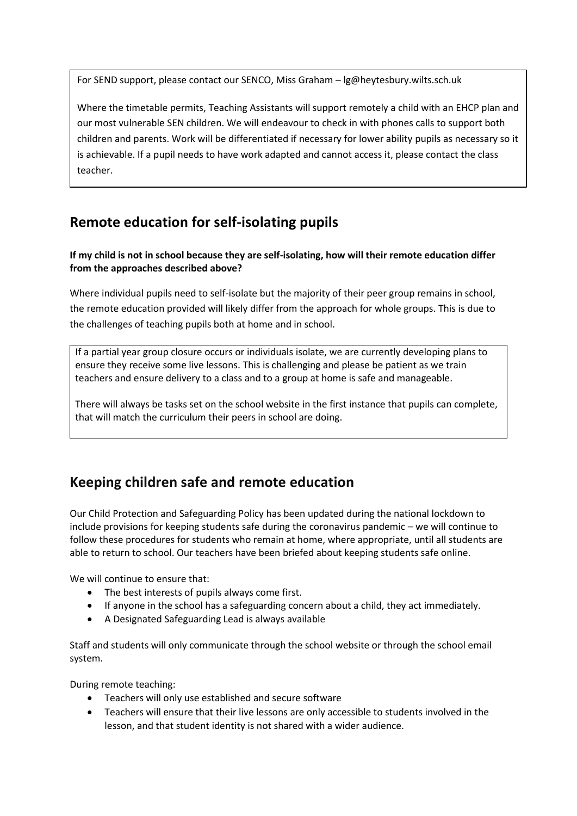For SEND support, please contact our SENCO, Miss Graham – lg@heytesbury.wilts.sch.uk

Where the timetable permits, Teaching Assistants will support remotely a child with an EHCP plan and our most vulnerable SEN children. We will endeavour to check in with phones calls to support both children and parents. Work will be differentiated if necessary for lower ability pupils as necessary so it is achievable. If a pupil needs to have work adapted and cannot access it, please contact the class teacher.

## **Remote education for self-isolating pupils**

#### **If my child is not in school because they are self-isolating, how will their remote education differ from the approaches described above?**

Where individual pupils need to self-isolate but the majority of their peer group remains in school, the remote education provided will likely differ from the approach for whole groups. This is due to the challenges of teaching pupils both at home and in school.

If a partial year group closure occurs or individuals isolate, we are currently developing plans to ensure they receive some live lessons. This is challenging and please be patient as we train teachers and ensure delivery to a class and to a group at home is safe and manageable.

There will always be tasks set on the school website in the first instance that pupils can complete, that will match the curriculum their peers in school are doing.

## **Keeping children safe and remote education**

Our Child Protection and Safeguarding Policy has been updated during the national lockdown to include provisions for keeping students safe during the coronavirus pandemic – we will continue to follow these procedures for students who remain at home, where appropriate, until all students are able to return to school. Our teachers have been briefed about keeping students safe online.

We will continue to ensure that:

- The best interests of pupils always come first.
- If anyone in the school has a safeguarding concern about a child, they act immediately.
- A Designated Safeguarding Lead is always available

Staff and students will only communicate through the school website or through the school email system.

During remote teaching:

- Teachers will only use established and secure software
- Teachers will ensure that their live lessons are only accessible to students involved in the lesson, and that student identity is not shared with a wider audience.